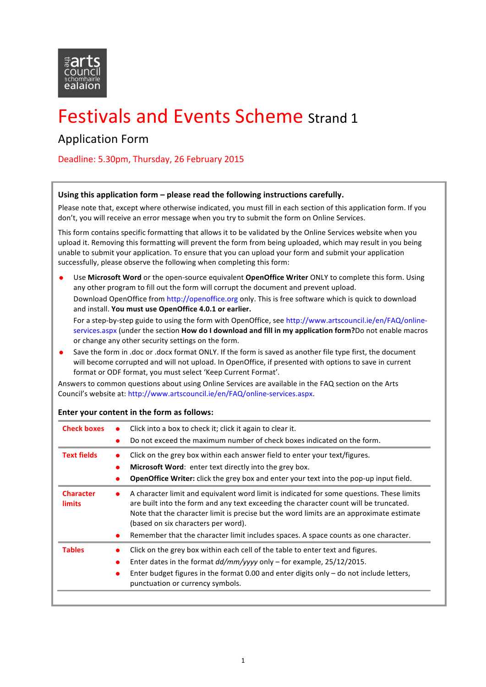

# Festivals and Events Scheme Strand 1

### Application Form

Deadline: 5.30pm, Thursday, 26 February 2015

#### Using this application form – please read the following instructions carefully.

Please note that, except where otherwise indicated, you must fill in each section of this application form. If you don't, you will receive an error message when you try to submit the form on Online Services.

This form contains specific formatting that allows it to be validated by the Online Services website when you upload it. Removing this formatting will prevent the form from being uploaded, which may result in you being unable to submit your application. To ensure that you can upload your form and submit your application successfully, please observe the following when completing this form:

- Use **Microsoft Word** or the open-source equivalent **OpenOffice Writer** ONLY to complete this form. Using any other program to fill out the form will corrupt the document and prevent upload. Download OpenOffice from http://openoffice.org only. This is free software which is quick to download and install. You must use OpenOffice 4.0.1 or earlier. For a step-by-step guide to using the form with OpenOffice, see http://www.artscouncil.ie/en/FAQ/onlineservices.aspx (under the section **How do I download and fill in my application form?**Do not enable macros or change any other security settings on the form.
- Save the form in .doc or .docx format ONLY. If the form is saved as another file type first, the document will become corrupted and will not upload. In OpenOffice, if presented with options to save in current format or ODF format, you must select 'Keep Current Format'.

Answers to common questions about using Online Services are available in the FAQ section on the Arts Council's website at: http://www.artscouncil.ie/en/FAQ/online-services.aspx.

| <b>Check boxes</b>         | Click into a box to check it; click it again to clear it.<br>$\bullet$<br>Do not exceed the maximum number of check boxes indicated on the form.                                                                                                                                                                                                                                                                                       |
|----------------------------|----------------------------------------------------------------------------------------------------------------------------------------------------------------------------------------------------------------------------------------------------------------------------------------------------------------------------------------------------------------------------------------------------------------------------------------|
| <b>Text fields</b>         | Click on the grey box within each answer field to enter your text/figures.<br>$\bullet$<br>Microsoft Word: enter text directly into the grey box.<br>●<br><b>OpenOffice Writer:</b> click the grey box and enter your text into the pop-up input field.                                                                                                                                                                                |
| <b>Character</b><br>limits | A character limit and equivalent word limit is indicated for some questions. These limits<br>$\bullet$<br>are built into the form and any text exceeding the character count will be truncated.<br>Note that the character limit is precise but the word limits are an approximate estimate<br>(based on six characters per word).<br>Remember that the character limit includes spaces. A space counts as one character.<br>$\bullet$ |
| <b>Tables</b>              | Click on the grey box within each cell of the table to enter text and figures.<br>Enter dates in the format $dd/mm/$ yyyy only – for example, 25/12/2015.<br>Enter budget figures in the format 0.00 and enter digits only $-$ do not include letters,<br>$\bullet$<br>punctuation or currency symbols.                                                                                                                                |

#### **Enter vour content in the form as follows:**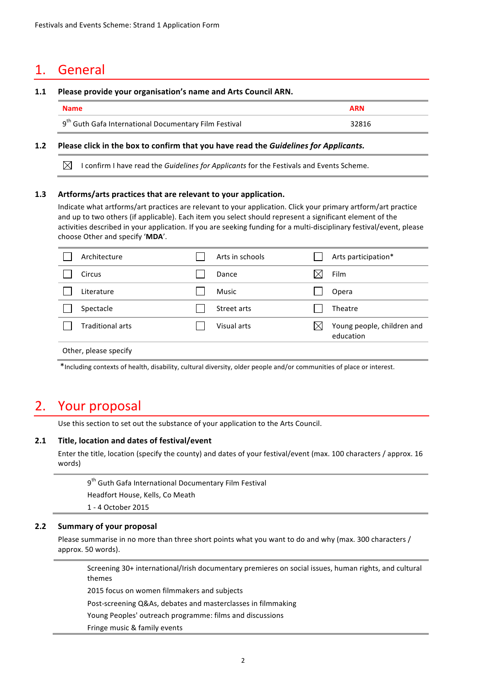### 1. General

#### 1.1 Please provide your organisation's name and Arts Council ARN.

| <b>Name</b>                                                       | <b>ARN</b> |
|-------------------------------------------------------------------|------------|
| 9 <sup>th</sup> Guth Gafa International Documentary Film Festival | 32816      |

#### **1.2** Please click in the box to confirm that you have read the *Guidelines for Applicants.*

 $\boxtimes$  I confirm I have read the *Guidelines for Applicants* for the Festivals and Events Scheme.

#### **1.3** Artforms/arts practices that are relevant to your application.

Indicate what artforms/art practices are relevant to your application. Click your primary artform/art practice and up to two others (if applicable). Each item you select should represent a significant element of the activities described in your application. If you are seeking funding for a multi-disciplinary festival/event, please choose Other and specify 'MDA'.

| Architecture            | Arts in schools | Arts participation*                     |
|-------------------------|-----------------|-----------------------------------------|
| Circus                  | Dance           | Film                                    |
| Literature              | <b>Music</b>    | Opera                                   |
| Spectacle               | Street arts     | Theatre                                 |
| <b>Traditional arts</b> | Visual arts     | Young people, children and<br>education |
| Other, please specify   |                 |                                         |

\*Including contexts of health, disability, cultural diversity, older people and/or communities of place or interest.

### 2. Your proposal

Use this section to set out the substance of your application to the Arts Council.

#### 2.1 Title, location and dates of festival/event

Enter the title, location (specify the county) and dates of your festival/event (max. 100 characters / approx. 16 words)

 $9<sup>th</sup>$  Guth Gafa International Documentary Film Festival Headfort House, Kells, Co Meath

1 - 4 October 2015

#### **2.2 Summary of your proposal**

Please summarise in no more than three short points what you want to do and why (max. 300 characters / approx. 50 words).

Screening 30+ international/Irish documentary premieres on social issues, human rights, and cultural themes

2015 focus on women filmmakers and subjects

Post-screening Q&As, debates and masterclasses in filmmaking

Young Peoples' outreach programme: films and discussions

Fringe music & family events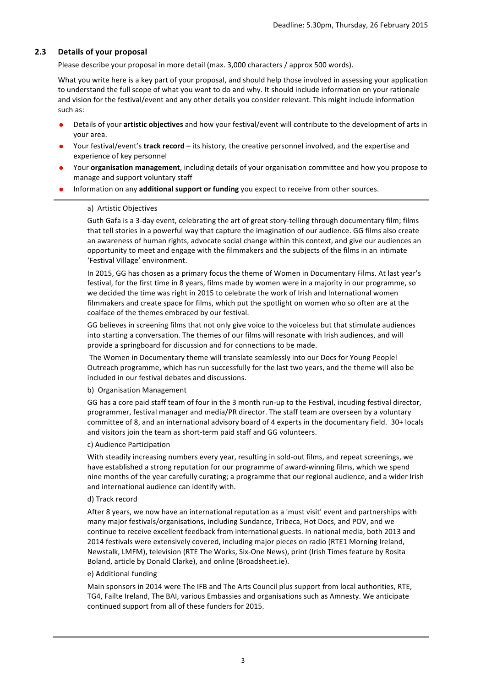#### **2.3 Details of your proposal**

Please describe your proposal in more detail (max. 3,000 characters / approx 500 words).

What you write here is a key part of your proposal, and should help those involved in assessing your application to understand the full scope of what you want to do and why. It should include information on your rationale and vision for the festival/event and any other details you consider relevant. This might include information such as:

- Details of your **artistic objectives** and how your festival/event will contribute to the development of arts in vour area.
- Your festival/event's **track record** its history, the creative personnel involved, and the expertise and experience of key personnel
- Your **organisation management**, including details of your organisation committee and how you propose to manage and support voluntary staff
- Information on any **additional support or funding** you expect to receive from other sources.

#### a) Artistic Objectives

Guth Gafa is a 3-day event, celebrating the art of great story-telling through documentary film; films that tell stories in a powerful way that capture the imagination of our audience. GG films also create an awareness of human rights, advocate social change within this context, and give our audiences an opportunity to meet and engage with the filmmakers and the subjects of the films in an intimate 'Festival Village' environment.

In 2015, GG has chosen as a primary focus the theme of Women in Documentary Films. At last year's festival, for the first time in 8 years, films made by women were in a majority in our programme, so we decided the time was right in 2015 to celebrate the work of Irish and International women filmmakers and create space for films, which put the spotlight on women who so often are at the coalface of the themes embraced by our festival.

GG believes in screening films that not only give voice to the voiceless but that stimulate audiences into starting a conversation. The themes of our films will resonate with Irish audiences, and will provide a springboard for discussion and for connections to be made.

The Women in Documentary theme will translate seamlessly into our Docs for Young Peoplel Outreach programme, which has run successfully for the last two years, and the theme will also be included in our festival debates and discussions.

#### b) Organisation Management

GG has a core paid staff team of four in the 3 month run-up to the Festival, incuding festival director, programmer, festival manager and media/PR director. The staff team are overseen by a voluntary committee of 8, and an international advisory board of 4 experts in the documentary field. 30+ locals and visitors join the team as short-term paid staff and GG volunteers.

#### c) Audience Participation

With steadily increasing numbers every year, resulting in sold-out films, and repeat screenings, we have established a strong reputation for our programme of award-winning films, which we spend nine months of the year carefully curating; a programme that our regional audience, and a wider Irish and international audience can identify with.

#### d) Track record

After 8 years, we now have an international reputation as a 'must visit' event and partnerships with many major festivals/organisations, including Sundance, Tribeca, Hot Docs, and POV, and we continue to receive excellent feedback from international guests. In national media, both 2013 and 2014 festivals were extensively covered, including major pieces on radio (RTE1 Morning Ireland, Newstalk, LMFM), television (RTE The Works, Six-One News), print (Irish Times feature by Rosita Boland, article by Donald Clarke), and online (Broadsheet.ie).

#### e) Additional funding

Main sponsors in 2014 were The IFB and The Arts Council plus support from local authorities, RTE, TG4, Failte Ireland, The BAI, various Embassies and organisations such as Amnesty. We anticipate continued support from all of these funders for 2015.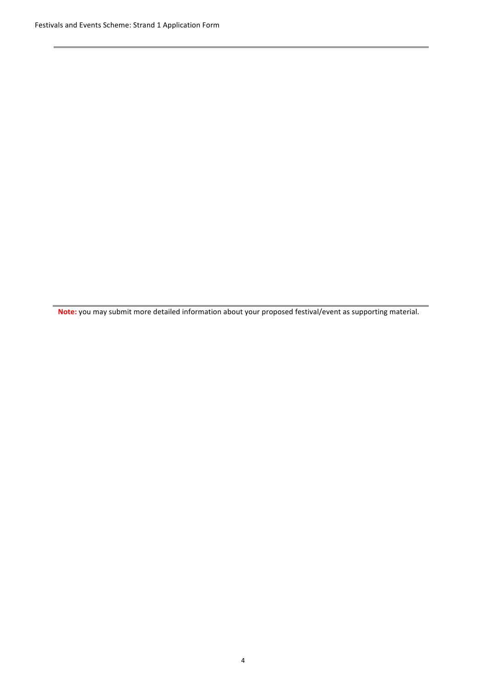Note: you may submit more detailed information about your proposed festival/event as supporting material.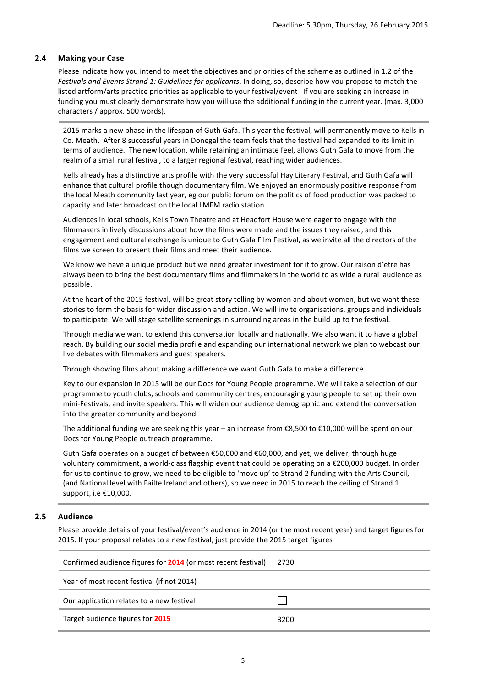#### **2.4 Making your Case**

Please indicate how you intend to meet the objectives and priorities of the scheme as outlined in 1.2 of the *Festivals and Events Strand 1: Guidelines for applicants.* In doing, so, describe how you propose to match the listed artform/arts practice priorities as applicable to your festival/event If you are seeking an increase in funding you must clearly demonstrate how you will use the additional funding in the current year. (max. 3,000 characters / approx. 500 words).

2015 marks a new phase in the lifespan of Guth Gafa. This year the festival, will permanently move to Kells in Co. Meath. After 8 successful years in Donegal the team feels that the festival had expanded to its limit in terms of audience. The new location, while retaining an intimate feel, allows Guth Gafa to move from the realm of a small rural festival, to a larger regional festival, reaching wider audiences.

Kells already has a distinctive arts profile with the very successful Hay Literary Festival, and Guth Gafa will enhance that cultural profile though documentary film. We enjoyed an enormously positive response from the local Meath community last year, eg our public forum on the politics of food production was packed to capacity and later broadcast on the local LMFM radio station.

Audiences in local schools, Kells Town Theatre and at Headfort House were eager to engage with the filmmakers in lively discussions about how the films were made and the issues they raised, and this engagement and cultural exchange is unique to Guth Gafa Film Festival, as we invite all the directors of the films we screen to present their films and meet their audience.

We know we have a unique product but we need greater investment for it to grow. Our raison d'etre has always been to bring the best documentary films and filmmakers in the world to as wide a rural audience as possible. 

At the heart of the 2015 festival, will be great story telling by women and about women, but we want these stories to form the basis for wider discussion and action. We will invite organisations, groups and individuals to participate. We will stage satellite screenings in surrounding areas in the build up to the festival.

Through media we want to extend this conversation locally and nationally. We also want it to have a global reach. By building our social media profile and expanding our international network we plan to webcast our live debates with filmmakers and guest speakers.

Through showing films about making a difference we want Guth Gafa to make a difference.

Key to our expansion in 2015 will be our Docs for Young People programme. We will take a selection of our programme to youth clubs, schools and community centres, encouraging young people to set up their own mini-Festivals, and invite speakers. This will widen our audience demographic and extend the conversation into the greater community and beyond.

The additional funding we are seeking this year – an increase from  $\epsilon$ 8,500 to  $\epsilon$ 10,000 will be spent on our Docs for Young People outreach programme.

Guth Gafa operates on a budget of between  $\epsilon$ 50,000 and  $\epsilon$ 60,000, and vet, we deliver, through huge voluntary commitment, a world-class flagship event that could be operating on a €200,000 budget. In order for us to continue to grow, we need to be eligible to 'move up' to Strand 2 funding with the Arts Council, (and National level with Failte Ireland and others), so we need in 2015 to reach the ceiling of Strand 1 support, i.e €10,000.

#### **2.5 Audience**

Please provide details of your festival/event's audience in 2014 (or the most recent year) and target figures for 2015. If your proposal relates to a new festival, just provide the 2015 target figures

| Confirmed audience figures for <b>2014</b> (or most recent festival) | 2730 |
|----------------------------------------------------------------------|------|
| Year of most recent festival (if not 2014)                           |      |
| Our application relates to a new festival                            |      |
| Target audience figures for 2015                                     | 3200 |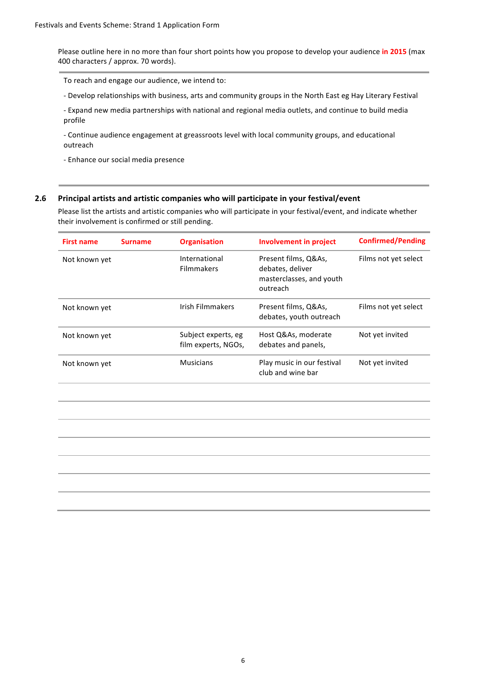Please outline here in no more than four short points how you propose to develop your audience in 2015 (max 400 characters / approx. 70 words).

To reach and engage our audience, we intend to:

- Develop relationships with business, arts and community groups in the North East eg Hay Literary Festival

- Expand new media partnerships with national and regional media outlets, and continue to build media profile

- Continue audience engagement at greassroots level with local community groups, and educational outreach

- Enhance our social media presence

#### **2.6** Principal artists and artistic companies who will participate in your festival/event

Please list the artists and artistic companies who will participate in your festival/event, and indicate whether their involvement is confirmed or still pending.

| <b>First name</b> | <b>Surname</b> | <b>Organisation</b>                        | <b>Involvement in project</b>                                                    | <b>Confirmed/Pending</b> |
|-------------------|----------------|--------------------------------------------|----------------------------------------------------------------------------------|--------------------------|
| Not known yet     |                | International<br><b>Filmmakers</b>         | Present films, Q&As,<br>debates, deliver<br>masterclasses, and youth<br>outreach | Films not yet select     |
| Not known yet     |                | Irish Filmmakers                           | Present films, Q&As,<br>debates, youth outreach                                  | Films not yet select     |
| Not known yet     |                | Subject experts, eg<br>film experts, NGOs, | Host Q&As, moderate<br>debates and panels,                                       | Not yet invited          |
| Not known yet     |                | <b>Musicians</b>                           | Play music in our festival<br>club and wine bar                                  | Not yet invited          |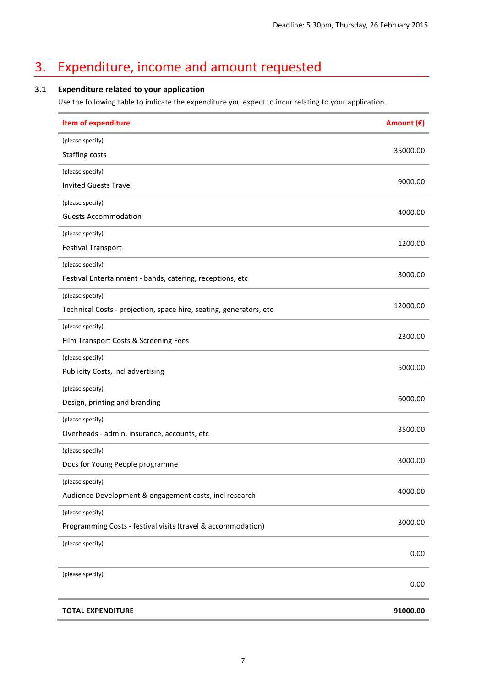## 3. Expenditure, income and amount requested

#### **3.1 Expenditure related to your application**

Use the following table to indicate the expenditure you expect to incur relating to your application.

| <b>Item of expenditure</b>                                         | Amount (€) |
|--------------------------------------------------------------------|------------|
| (please specify)                                                   |            |
| Staffing costs                                                     | 35000.00   |
| (please specify)                                                   |            |
| <b>Invited Guests Travel</b>                                       | 9000.00    |
| (please specify)                                                   |            |
| <b>Guests Accommodation</b>                                        | 4000.00    |
| (please specify)                                                   |            |
| <b>Festival Transport</b>                                          | 1200.00    |
| (please specify)                                                   |            |
| Festival Entertainment - bands, catering, receptions, etc          | 3000.00    |
| (please specify)                                                   |            |
| Technical Costs - projection, space hire, seating, generators, etc | 12000.00   |
| (please specify)                                                   |            |
| Film Transport Costs & Screening Fees                              | 2300.00    |
| (please specify)                                                   |            |
| Publicity Costs, incl advertising                                  | 5000.00    |
| (please specify)                                                   |            |
| Design, printing and branding                                      | 6000.00    |
| (please specify)                                                   |            |
| Overheads - admin, insurance, accounts, etc                        | 3500.00    |
| (please specify)                                                   |            |
| Docs for Young People programme                                    | 3000.00    |
| (please specify)                                                   |            |
| Audience Development & engagement costs, incl research             | 4000.00    |
| (please specify)                                                   |            |
| Programming Costs - festival visits (travel & accommodation)       | 3000.00    |
| (please specify)                                                   | 0.00       |
| (please specify)                                                   | 0.00       |
| <b>TOTAL EXPENDITURE</b>                                           | 91000.00   |